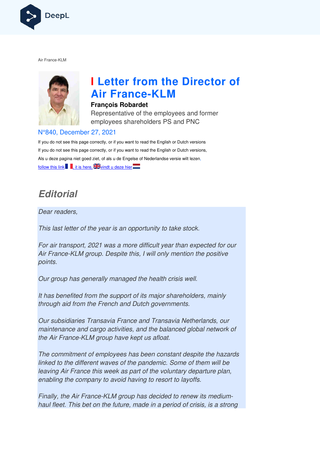

Air France-KLM



# **I Letter from the Director of Air France France-KLM**

#### **François Robardet**

Representative of the employees and former employees shareholders PS and PNC

#### N°840, December 27, 2021

If you do not see this page correctly, or if you want to read the English or Dutch versions If you do not see this page correctly, or if you want to read the English or Dutch versions, Als u deze pagina niet goed ziet, of als u de Engelse of Nederlandse versie wilt lezen, follow this link  $\blacksquare$ , it is here,  $\blacktriangleright$  vindt u deze hier

# **Editorial**

Dear readers,

This last letter of the year is an opportunity to take stock.

For air transport, 2021 was a more difficult year than expected for our Air France-KLM group. Despite this, I will only mention the positive points. Air France-KLM group. Despite this, I will only mention the positive<br>points.<br>Our group has generally managed the health crisis well.<br>It has benefited from the support of its major shareholders, mainly

Our group has generally managed the health crisis well.

through aid from the French and Dutch governments.

Our subsidiaries Transavia France and Transavia Netherlands, our maintenance and cargo activities, and the balanced global network of the Air France-KLM group have kept us afloat.

The commitment of employees has been constant despite the hazards linked to the different waves of the pandemic. Some of them will be leaving Air France this week as part of the voluntary departure plan, the Air France-KLM group have kept us afloat.<br>The commitment of employees has been constant despite<br>linked to the different waves of the pandemic. Some of the<br>leaving Air France this week as part of the voluntary depa<br>enab

Finally, the Air France-KLM group has decided to renew its mediumhaul fleet. This bet on the future, made in a period of crisis, is a strong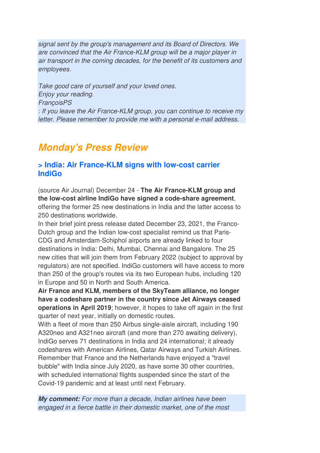signal sent by the group's management and its Board of Directors. We are convinced that the Air France-KLM group will be a major player in air transport in the coming decades, for the benefit of its customers and employees.

Take good care of yourself and your loved ones. Enjoy your reading. **FrançoisPS** : If you leave the Air France-KLM group, you can continue to receive my letter. Please remember to provide me with a personal e-mail address.

# **Monday's Press Review**

# **> India: Air France-KLM signs with low-cost carrier IndiGo**

(source Air Journal) December 24 - **The Air France-KLM group and the low-cost airline IndiGo have signed a code-share agreement**, offering the former 25 new destinations in India and the latter access to 250 destinations worldwide.

In their brief joint press release dated December 23, 2021, the Franco-Dutch group and the Indian low-cost specialist remind us that Paris-CDG and Amsterdam-Schiphol airports are already linked to four destinations in India: Delhi, Mumbai, Chennai and Bangalore. The 25 new cities that will join them from February 2022 (subject to approval by regulators) are not specified. IndiGo customers will have access to more than 250 of the group's routes via its two European hubs, including 120 in Europe and 50 in North and South America.

**Air France and KLM, members of the SkyTeam alliance, no longer have a codeshare partner in the country since Jet Airways ceased operations in April 2019**; however, it hopes to take off again in the first quarter of next year, initially on domestic routes.

With a fleet of more than 250 Airbus single-aisle aircraft, including 190 A320neo and A321neo aircraft (and more than 270 awaiting delivery), IndiGo serves 71 destinations in India and 24 international; it already codeshares with American Airlines, Qatar Airways and Turkish Airlines. Remember that France and the Netherlands have enjoyed a "travel bubble" with India since July 2020, as have some 30 other countries, with scheduled international flights suspended since the start of the Covid-19 pandemic and at least until next February.

**My comment:** For more than a decade, Indian airlines have been engaged in a fierce battle in their domestic market, one of the most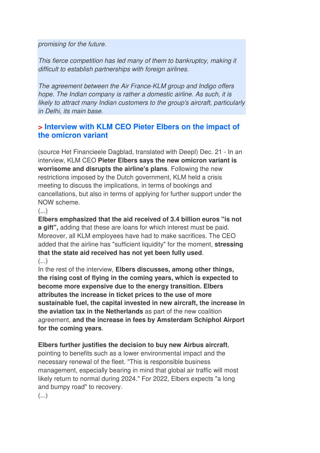promising for the future.

This fierce competition has led many of them to bankruptcy, making it difficult to establish partnerships with foreign airlines.

The agreement between the Air France-KLM group and Indigo offers hope. The Indian company is rather a domestic airline. As such, it is likely to attract many Indian customers to the group's aircraft, particularly in Delhi, its main base.

# **> Interview with KLM CEO Pieter Elbers on the impact of the omicron variant**

(source Het Financieele Dagblad, translated with Deepl) Dec. 21 - In an interview, KLM CEO **Pieter Elbers says the new omicron variant is worrisome and disrupts the airline's plans**. Following the new restrictions imposed by the Dutch government, KLM held a crisis meeting to discuss the implications, in terms of bookings and cancellations, but also in terms of applying for further support under the NOW scheme.

(...)

**Elbers emphasized that the aid received of 3.4 billion euros "is not a gift",** adding that these are loans for which interest must be paid. Moreover, all KLM employees have had to make sacrifices. The CEO added that the airline has "sufficient liquidity" for the moment, **stressing that the state aid received has not yet been fully used**.  $(\ldots)$ 

In the rest of the interview, **Elbers discusses, among other things, the rising cost of flying in the coming years, which is expected to become more expensive due to the energy transition. Elbers attributes the increase in ticket prices to the use of more sustainable fuel, the capital invested in new aircraft, the increase in the aviation tax in the Netherlands** as part of the new coalition agreement, **and the increase in fees by Amsterdam Schiphol Airport for the coming years**.

**Elbers further justifies the decision to buy new Airbus aircraft**,

pointing to benefits such as a lower environmental impact and the necessary renewal of the fleet. "This is responsible business management, especially bearing in mind that global air traffic will most likely return to normal during 2024." For 2022, Elbers expects "a long and bumpy road" to recovery.

 $\left(\ldots\right)$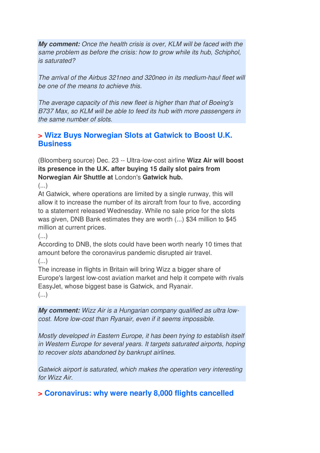**My comment:** Once the health crisis is over, KLM will be faced with the same problem as before the crisis: how to grow while its hub, Schiphol, is saturated?

The arrival of the Airbus 321neo and 320neo in its medium-haul fleet will be one of the means to achieve this.

The average capacity of this new fleet is higher than that of Boeing's B737 Max, so KLM will be able to feed its hub with more passengers in the same number of slots.

# **> Wizz Buys Norwegian Slots at Gatwick to Boost U.K. Business**

(Bloomberg source) Dec. 23 -- Ultra-low-cost airline **Wizz Air will boost its presence in the U.K. after buying 15 daily slot pairs from Norwegian Air Shuttle at** London's **Gatwick hub.** 

 $\left( \ldots \right)$ 

At Gatwick, where operations are limited by a single runway, this will allow it to increase the number of its aircraft from four to five, according to a statement released Wednesday. While no sale price for the slots was given, DNB Bank estimates they are worth (...) \$34 million to \$45 million at current prices.

 $\left( \ldots \right)$ 

According to DNB, the slots could have been worth nearly 10 times that amount before the coronavirus pandemic disrupted air travel.

 $(\ldots)$ 

The increase in flights in Britain will bring Wizz a bigger share of Europe's largest low-cost aviation market and help it compete with rivals EasyJet, whose biggest base is Gatwick, and Ryanair.  $\left(\ldots\right)$ 

**My comment:** Wizz Air is a Hungarian company qualified as ultra lowcost. More low-cost than Ryanair, even if it seems impossible.

Mostly developed in Eastern Europe, it has been trying to establish itself in Western Europe for several years. It targets saturated airports, hoping to recover slots abandoned by bankrupt airlines.

Gatwick airport is saturated, which makes the operation very interesting for Wizz Air.

**> Coronavirus: why were nearly 8,000 flights cancelled**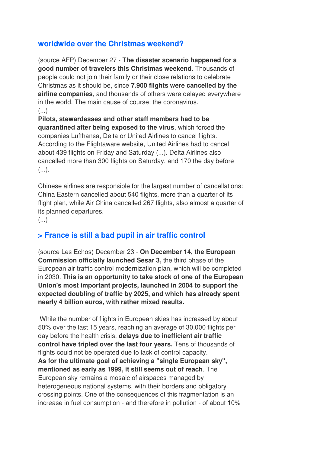# **worldwide over the Christmas weekend?**

(source AFP) December 27 - **The disaster scenario happened for a good number of travelers this Christmas weekend**. Thousands of people could not join their family or their close relations to celebrate Christmas as it should be, since **7.900 flights were cancelled by the airline companies**, and thousands of others were delayed everywhere in the world. The main cause of course: the coronavirus.  $\left( \ldots \right)$ 

**Pilots, stewardesses and other staff members had to be quarantined after being exposed to the virus**, which forced the companies Lufthansa, Delta or United Airlines to cancel flights. According to the Flightaware website, United Airlines had to cancel about 439 flights on Friday and Saturday (...). Delta Airlines also cancelled more than 300 flights on Saturday, and 170 the day before  $(\ldots)$ .

Chinese airlines are responsible for the largest number of cancellations: China Eastern cancelled about 540 flights, more than a quarter of its flight plan, while Air China cancelled 267 flights, also almost a quarter of its planned departures.

 $\left(\ldots\right)$ 

#### **> France is still a bad pupil in air traffic control**

(source Les Echos) December 23 - **On December 14, the European Commission officially launched Sesar 3,** the third phase of the European air traffic control modernization plan, which will be completed in 2030. **This is an opportunity to take stock of one of the European Union's most important projects, launched in 2004 to support the expected doubling of traffic by 2025, and which has already spent nearly 4 billion euros, with rather mixed results.** 

 While the number of flights in European skies has increased by about 50% over the last 15 years, reaching an average of 30,000 flights per day before the health crisis, **delays due to inefficient air traffic control have tripled over the last four years.** Tens of thousands of flights could not be operated due to lack of control capacity. **As for the ultimate goal of achieving a "single European sky", mentioned as early as 1999, it still seems out of reach**. The European sky remains a mosaic of airspaces managed by heterogeneous national systems, with their borders and obligatory crossing points. One of the consequences of this fragmentation is an increase in fuel consumption - and therefore in pollution - of about 10%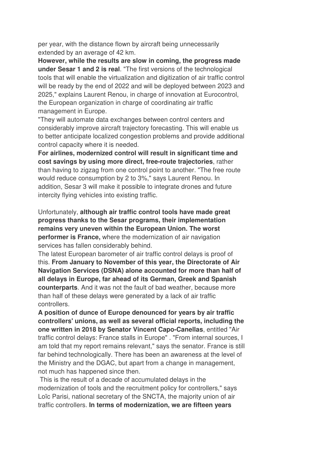per year, with the distance flown by aircraft being unnecessarily extended by an average of 42 km.

**However, while the results are slow in coming, the progress made under Sesar 1 and 2 is real**. "The first versions of the technological tools that will enable the virtualization and digitization of air traffic control will be ready by the end of 2022 and will be deployed between 2023 and 2025," explains Laurent Renou, in charge of innovation at Eurocontrol, the European organization in charge of coordinating air traffic management in Europe.

"They will automate data exchanges between control centers and considerably improve aircraft trajectory forecasting. This will enable us to better anticipate localized congestion problems and provide additional control capacity where it is needed.

**For airlines, modernized control will result in significant time and cost savings by using more direct, free-route trajectories**, rather than having to zigzag from one control point to another. "The free route would reduce consumption by 2 to 3%," says Laurent Renou. In addition, Sesar 3 will make it possible to integrate drones and future intercity flying vehicles into existing traffic.

Unfortunately, **although air traffic control tools have made great progress thanks to the Sesar programs, their implementation remains very uneven within the European Union. The worst performer is France,** where the modernization of air navigation services has fallen considerably behind.

The latest European barometer of air traffic control delays is proof of this. **From January to November of this year, the Directorate of Air Navigation Services (DSNA) alone accounted for more than half of all delays in Europe, far ahead of its German, Greek and Spanish counterparts**. And it was not the fault of bad weather, because more than half of these delays were generated by a lack of air traffic controllers.

**A position of dunce of Europe denounced for years by air traffic controllers' unions, as well as several official reports, including the one written in 2018 by Senator Vincent Capo-Canellas**, entitled "Air traffic control delays: France stalls in Europe" . "From internal sources, I am told that my report remains relevant," says the senator. France is still far behind technologically. There has been an awareness at the level of the Ministry and the DGAC, but apart from a change in management, not much has happened since then.

 This is the result of a decade of accumulated delays in the modernization of tools and the recruitment policy for controllers," says Loïc Parisi, national secretary of the SNCTA, the majority union of air traffic controllers. **In terms of modernization, we are fifteen years**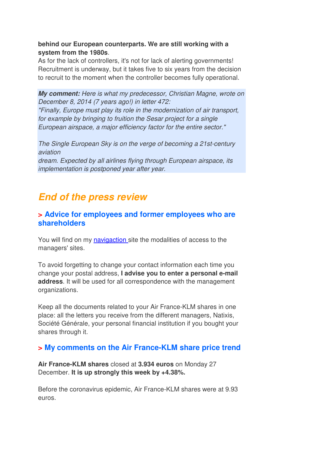**behind our European counterparts. We are still working with a system from the 1980s**.

As for the lack of controllers, it's not for lack of alerting governments! Recruitment is underway, but it takes five to six years from the decision to recruit to the moment when the controller becomes fully operational.

**My comment:** Here is what my predecessor, Christian Magne, wrote on December 8, 2014 (7 years ago!) in letter 472:

"Finally, Europe must play its role in the modernization of air transport, for example by bringing to fruition the Sesar project for a single European airspace, a major efficiency factor for the entire sector."

The Single European Sky is on the verge of becoming a 21st-century aviation dream. Expected by all airlines flying through European airspace, its implementation is postponed year after year.

# **End of the press review**

### **> Advice for employees and former employees who are shareholders**

You will find on my navigaction site the modalities of access to the managers' sites.

To avoid forgetting to change your contact information each time you change your postal address, **I advise you to enter a personal e-mail address**. It will be used for all correspondence with the management organizations.

Keep all the documents related to your Air France-KLM shares in one place: all the letters you receive from the different managers, Natixis, Société Générale, your personal financial institution if you bought your shares through it.

# **> My comments on the Air France-KLM share price trend**

**Air France-KLM shares** closed at **3.934 euros** on Monday 27 December. **It is up strongly this week by +4.38%.** 

Before the coronavirus epidemic, Air France-KLM shares were at 9.93 euros.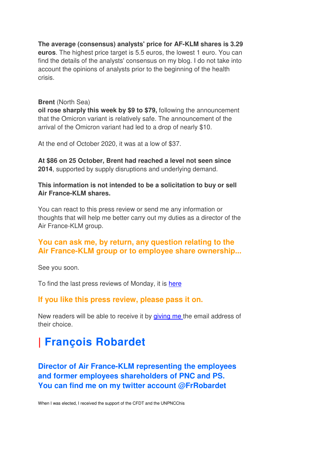**The average (consensus) analysts' price for AF-KLM shares is 3.29 euros**. The highest price target is 5.5 euros, the lowest 1 euro. You can find the details of the analysts' consensus on my blog. I do not take into account the opinions of analysts prior to the beginning of the health crisis.

#### **Brent** (North Sea)

**oil rose sharply this week by \$9 to \$79,** following the announcement that the Omicron variant is relatively safe. The announcement of the arrival of the Omicron variant had led to a drop of nearly \$10.

At the end of October 2020, it was at a low of \$37.

**At \$86 on 25 October, Brent had reached a level not seen since 2014**, supported by supply disruptions and underlying demand.

**This information is not intended to be a solicitation to buy or sell Air France-KLM shares.**

You can react to this press review or send me any information or thoughts that will help me better carry out my duties as a director of the Air France-KLM group.

# **You can ask me, by return, any question relating to the Air France-KLM group or to employee share ownership...**

See you soon.

To find the last press reviews of Monday, it is here

#### **If you like this press review, please pass it on.**

New readers will be able to receive it by giving me the email address of their choice.

# **| François Robardet**

**Director of Air France-KLM representing the employees and former employees shareholders of PNC and PS. You can find me on my twitter account @FrRobardet**